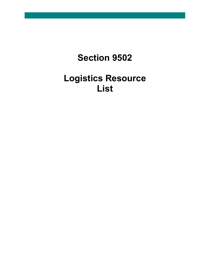## **Section 9502**

## **Logistics Resource List**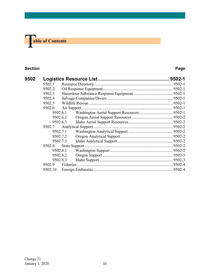# **The able of Contents**

#### **Section Page**

| 9502 |          |          |  |  |
|------|----------|----------|--|--|
|      | 9502.1   |          |  |  |
|      | 9502.2   |          |  |  |
|      | 9502.3   |          |  |  |
|      | 9502.4   |          |  |  |
|      | 9502.5   |          |  |  |
|      | 9502.6   |          |  |  |
|      |          | 9502.6.1 |  |  |
|      | 9502.6.2 |          |  |  |
|      | 9502.6.3 |          |  |  |
|      | 9502.7   |          |  |  |
|      |          | 9502.7.1 |  |  |
|      | 9502.7.2 |          |  |  |
|      | 9502.7.3 |          |  |  |
|      | 9502.8   |          |  |  |
|      | 9502.8.1 |          |  |  |
|      | 9502.8.2 |          |  |  |
|      | 9502.8.3 |          |  |  |
|      | 9502.9   |          |  |  |
|      | 9502.10  |          |  |  |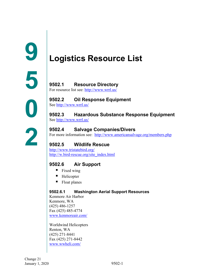## <span id="page-2-1"></span><span id="page-2-0"></span>**Logistics Resource List**

<span id="page-2-2"></span>**9502.1 Resource Directory** For resource list see:<http://www.wrrl.us/>

#### <span id="page-2-3"></span>**9502.2 Oil Response Equipment**

See<http://www.wrrl.us/>

## <span id="page-2-4"></span>**9502.3 Hazardous Substance Response Equipment**

See <http://www.wrrl.us/>

#### <span id="page-2-5"></span>**9502.4 Salvage Companies/Divers**

For more information see: <http://www.americansalvage.org/members.php>

### <span id="page-2-6"></span>**9502.5 Wildlife Rescue**

<http://www.tristatebird.org/> [http://w.bird-rescue.org/site\\_index.html](http://w.bird-rescue.org/site_index.html)

### <span id="page-2-7"></span>**9502.6 Air Support**

- $\blacksquare$  Fixed wing
- Helicopter
- Float planes

#### <span id="page-2-8"></span>**9502.6.1 Washington Aerial Support Resources**

Kenmore Air Harbor Kenmore, WA (425) 486-1257 Fax (425) 485-4774 [www.kenmoreair.com/](http://www.kenmoreair.com/)

Worldwind Helicopters Renton, WA (425) 271-8441 Fax (425) 271-8442 [www.wwheli.com/](http://www.wwheli.com/)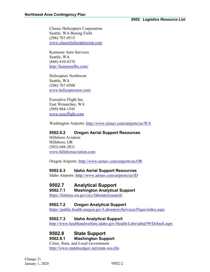Classic Helicopters Corporation Seattle, WA Boeing Field (206) 767-0515 [www.classichelicoptercorp.com](http://www.classichelicoptercorp.com/)

Kenmore Aero Services Seattle, WA (866) 410-6376 <http://kenmorefbo.com/>

Helicopters Northwest Seattle, WA (206) 767-0508 [www.helicoptersnw.com](http://www.helicoptersnw.com/)

Executive Flight Inc. East Wenatchee, WA (509) 884-1545 [www.execflight.com](http://www.execflight.com/)

Washington Airports:<http://www.airnav.com/airports/us/WA>

#### <span id="page-3-0"></span>**9502.6.2 Oregon Aerial Support Resources**

Hillsboro Aviation Hillsboro, OR (503) 648-2831 [www.hillsboroaviation.com](http://www.hillsboroaviation.com/)

Oregon Airports:<http://www.airnav.com/airports/us/OR>

#### <span id="page-3-1"></span>**9502.6.3 Idaho Aerial Support Resources**

Idaho Airports:<http://www.airnav.com/airports/us/ID>

#### <span id="page-3-2"></span>**9502.7 Analytical Support**

#### <span id="page-3-3"></span>**9502.7.1 Washington Analytical Support**

<https://fortress.wa.gov/ecy/laboratorysearch/>

#### <span id="page-3-4"></span>**9502.7.2 Oregon Analytical Support**

<https://public.health.oregon.gov/LaboratoryServices/Pages/index.aspx>

#### <span id="page-3-5"></span>**9502.7.3 Idaho Analytical Support**

<http://www.healthandwelfare.idaho.gov/Health/Labs/tabid/99/Default.aspx>

#### <span id="page-3-6"></span>**9502.8 State Support**

#### <span id="page-3-7"></span>**9502.8.1 Washington Support**

Cities, State, and Local Government <http://www.statelocalgov.net/state-wa.cfm>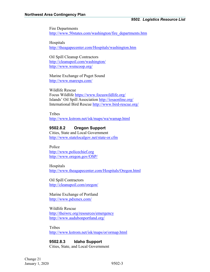Fire Departments [http://www.50states.com/washington/fire\\_departments.htm](http://www.50states.com/washington/fire_departments.htm)

Hospitals <http://theagapecenter.com/Hospitals/washington.htm>

Oil Spill Cleanup Contractors <http://cleanupoil.com/washington/> <http://www.wsmcoop.org/>

Marine Exchange of Puget Sound <http://www.marexps.com/>

Wildlife Rescue Focus Wildlife<https://www.focuswildlife.org/> Islands' Oil Spill Association<http://iosaonline.org/> International Bird Rescue<http://www.bird-rescue.org/>

**Tribes** <http://www.kstrom.net/isk/maps/wa/wamap.html>

#### <span id="page-4-0"></span>**9502.8.2 Oregon Support**

Cities, State and Local Government <http://www.statelocalgov.net/state-or.cfm>

Police [http://www.policechief.org](http://www.policechief.org/) <http://www.oregon.gov/OSP/>

Hospitals <http://www.theagapecenter.com/Hospitals/Oregon.html>

Oil Spill Contractors <http://cleanupoil.com/oregon/>

Marine Exchange of Portland <http://www.pdxmex.com/>

Wildlife Rescue <http://theiwrc.org/resources/emergency> <http://www.audubonportland.org/>

Tribes <http://www.kstrom.net/isk/maps/or/ormap.html>

<span id="page-4-1"></span>**9502.8.3 Idaho Support** Cities, State, and Local Government